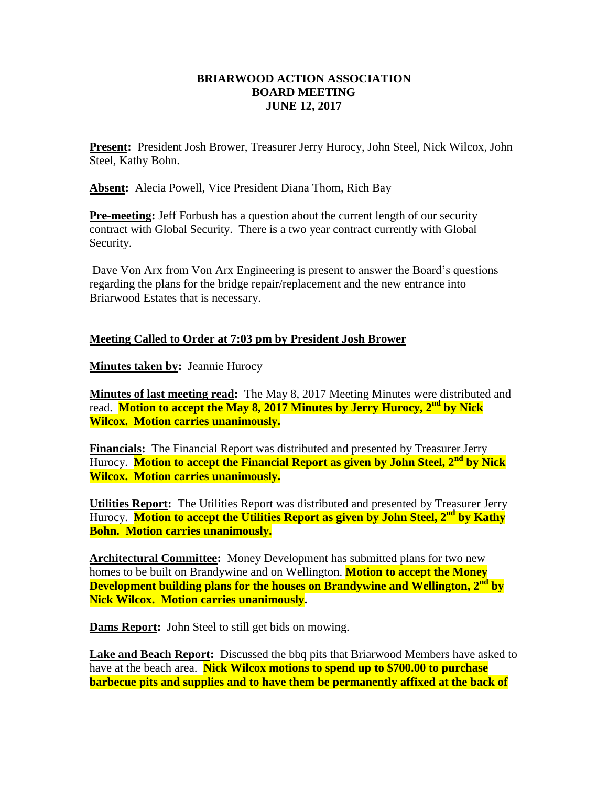## **BRIARWOOD ACTION ASSOCIATION BOARD MEETING JUNE 12, 2017**

**Present:** President Josh Brower, Treasurer Jerry Hurocy, John Steel, Nick Wilcox, John Steel, Kathy Bohn.

**Absent:** Alecia Powell, Vice President Diana Thom, Rich Bay

**Pre-meeting:** Jeff Forbush has a question about the current length of our security contract with Global Security. There is a two year contract currently with Global Security.

Dave Von Arx from Von Arx Engineering is present to answer the Board's questions regarding the plans for the bridge repair/replacement and the new entrance into Briarwood Estates that is necessary.

## **Meeting Called to Order at 7:03 pm by President Josh Brower**

**Minutes taken by:** Jeannie Hurocy

**Minutes of last meeting read:** The May 8, 2017 Meeting Minutes were distributed and read. **Motion to accept the May 8, 2017 Minutes by Jerry Hurocy, 2nd by Nick Wilcox. Motion carries unanimously.**

**Financials:** The Financial Report was distributed and presented by Treasurer Jerry Hurocy. **Motion to accept the Financial Report as given by John Steel, 2nd by Nick Wilcox. Motion carries unanimously.**

**Utilities Report:** The Utilities Report was distributed and presented by Treasurer Jerry Hurocy. **Motion to accept the Utilities Report as given by John Steel, 2nd by Kathy Bohn. Motion carries unanimously.**

**Architectural Committee:** Money Development has submitted plans for two new homes to be built on Brandywine and on Wellington. **Motion to accept the Money Development building plans for the houses on Brandywine and Wellington, 2nd by Nick Wilcox. Motion carries unanimously.**

**Dams Report:** John Steel to still get bids on mowing.

**Lake and Beach Report:** Discussed the bbq pits that Briarwood Members have asked to have at the beach area. **Nick Wilcox motions to spend up to \$700.00 to purchase barbecue pits and supplies and to have them be permanently affixed at the back of**